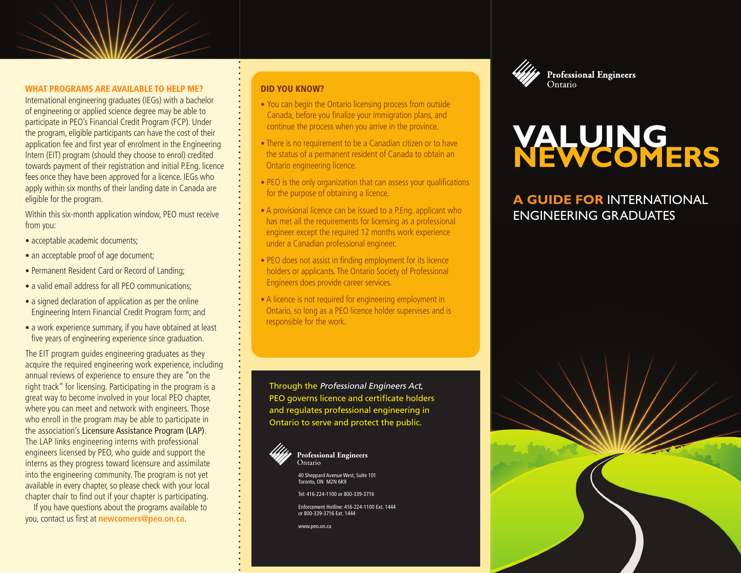#### WHAT PROGRAMS ARE AVAILABLE TO HELP ME?

International engineering graduates (IEGs) with a bachelor of engineering or applied science degree may be able to participate in PEO's Financial Credit Program (FCP). Under the program, eligible participants can have the cost of their application fee and first year of enrolment in the Engineering Intern (EIT) program (should they choose to enrol) credited towards payment of their registration and initial P.Eng. licence fees once they have been approved for a licence. IEGs who apply within six months of their landing date in Canada are eligible for the program.

Within this six-month application window, PEO must receive from you:

- acceptable academic documents;
- an acceptable proof of age document;
- Permanent Resident Card or Record of Landing;
- a valid email address for all PEO communications:
- a signed declaration of application as per the online Engineering Intern Financial Credit Program form; and
- a work experience summary, if you have obtained at least five years of engineering experience since graduation.

The EIT program guides engineering graduates as they acquire the required engineering work experience, including annual reviews of experience to ensure they are "on the right track" for licensing. Participating in the program is a great way to become involved in your local PEO chapter, where you can meet and network with engineers. Those who enroll in the program may be able to participate in the association's Licensure Assistance Program (LAP). The LAP links engineering interns with professional engineers licensed by PEO, who guide and support the interns as they progress toward licensure and assimilate into the engineering community. The program is not yet available in every chapter, so please check with your local chapter chair to find out if your chapter is participating.

If you have questions about the programs available to you, contact us first at **newcomers@peo.on.ca**.

#### DID YOU KNOW?

- You can begin the Ontario licensing process from outside Canada, before you finalize your immigration plans, and continue the process when you arrive in the province.
- **•** There is no requirement to be a Canadian citizen or to have the status of a permanent resident of Canada to obtain an Ontario engineering licence.
- PEO is the only organization that can assess your qualifications for the purpose of obtaining a licence.
- **•** A provisional licence can be issued to a P.Eng. applicant who has met all the requirements for licensing as a professional engineer except the required 12 months work experience under a Canadian professional engineer.
- PEO does not assist in finding employment for its licence holders or applicants. The Ontario Society of Professional Engineers does provide career services.
- **•** A licence is not required for engineering employment in Ontario, so long as a PEO licence holder supervises and is responsible for the work.

Through the Professional Engineers Act, PEO governs licence and certificate holders and regulates professional engineering in Ontario to serve and protect the public.



**Professional Engineers** Ontario

40 Sheppard Avenue West, Suite 101 Toronto, ON M2N 6K9

Tel: 416-224-1100 or 800-339-3716

Enforcement Hotline: 416-224-1100 Ext. 1444 or 800-339-3716 Ext. 1444

www.peo.on.ca



# **VALUING**

### **A GUIDE FOR** INTERNATIONAL ENGINEERING GRADUATES